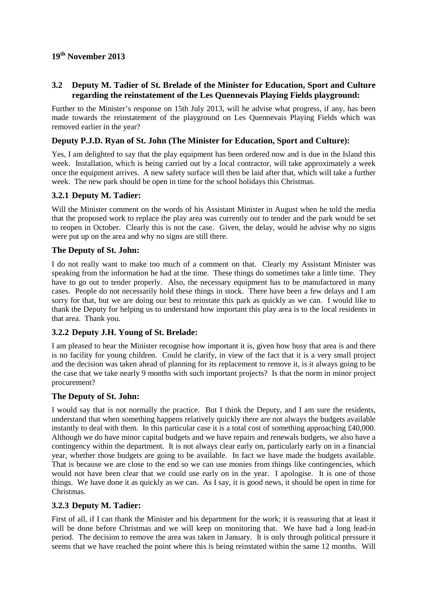# **19th November 2013**

## **3.2 Deputy M. Tadier of St. Brelade of the Minister for Education, Sport and Culture regarding the reinstatement of the Les Quennevais Playing Fields playground:**

Further to the Minister's response on 15th July 2013, will he advise what progress, if any, has been made towards the reinstatement of the playground on Les Quennevais Playing Fields which was removed earlier in the year?

# **Deputy P.J.D. Ryan of St. John (The Minister for Education, Sport and Culture):**

Yes, I am delighted to say that the play equipment has been ordered now and is due in the Island this week. Installation, which is being carried out by a local contractor, will take approximately a week once the equipment arrives. A new safety surface will then be laid after that, which will take a further week. The new park should be open in time for the school holidays this Christmas.

## **3.2.1 Deputy M. Tadier:**

Will the Minister comment on the words of his Assistant Minister in August when he told the media that the proposed work to replace the play area was currently out to tender and the park would be set to reopen in October. Clearly this is not the case. Given, the delay, would he advise why no signs were put up on the area and why no signs are still there.

#### **The Deputy of St. John:**

I do not really want to make too much of a comment on that. Clearly my Assistant Minister was speaking from the information he had at the time. These things do sometimes take a little time. They have to go out to tender properly. Also, the necessary equipment has to be manufactured in many cases. People do not necessarily hold these things in stock. There have been a few delays and I am sorry for that, but we are doing our best to reinstate this park as quickly as we can. I would like to thank the Deputy for helping us to understand how important this play area is to the local residents in that area. Thank you.

#### **3.2.2 Deputy J.H. Young of St. Brelade:**

I am pleased to hear the Minister recognise how important it is, given how busy that area is and there is no facility for young children. Could he clarify, in view of the fact that it is a very small project and the decision was taken ahead of planning for its replacement to remove it, is it always going to be the case that we take nearly 9 months with such important projects? Is that the norm in minor project procurement?

#### **The Deputy of St. John:**

I would say that is not normally the practice. But I think the Deputy, and I am sure the residents, understand that when something happens relatively quickly there are not always the budgets available instantly to deal with them. In this particular case it is a total cost of something approaching £40,000. Although we do have minor capital budgets and we have repairs and renewals budgets, we also have a contingency within the department. It is not always clear early on, particularly early on in a financial year, whether those budgets are going to be available. In fact we have made the budgets available. That is because we are close to the end so we can use monies from things like contingencies, which would not have been clear that we could use early on in the year. I apologise. It is one of those things. We have done it as quickly as we can. As I say, it is good news, it should be open in time for Christmas.

#### **3.2.3 Deputy M. Tadier:**

First of all, if I can thank the Minister and his department for the work; it is reassuring that at least it will be done before Christmas and we will keep on monitoring that. We have had a long lead-in period. The decision to remove the area was taken in January. It is only through political pressure it seems that we have reached the point where this is being reinstated within the same 12 months. Will